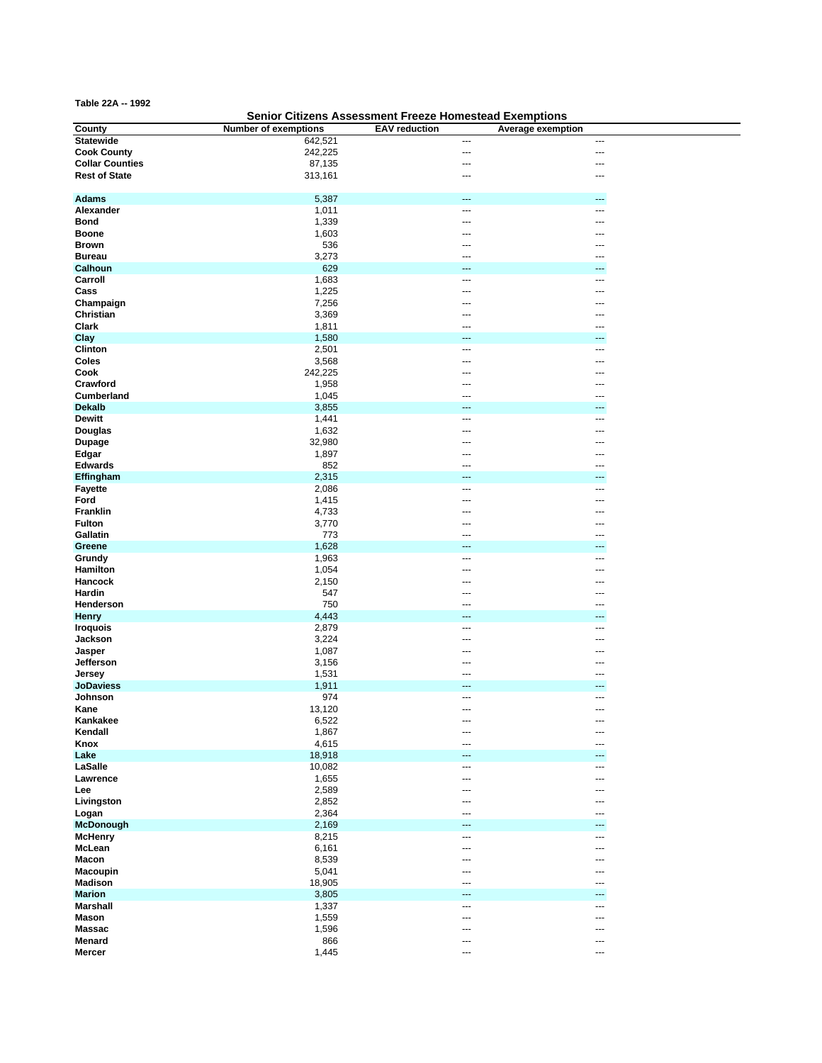**Table 22A -- 1992**

## **Senior Citizens Assessment Freeze Homestead Exemptions**

| <b>County</b>          | <b>Number of exemptions</b> | <b>EAV</b> reduction | Average exemption        |
|------------------------|-----------------------------|----------------------|--------------------------|
| <b>Statewide</b>       | 642,521                     | ---                  | $\overline{a}$           |
| <b>Cook County</b>     | 242,225                     | ---                  | ---                      |
| <b>Collar Counties</b> | 87,135                      | ---                  |                          |
| <b>Rest of State</b>   | 313,161                     | ---                  | ---                      |
|                        |                             |                      |                          |
|                        |                             |                      |                          |
| <b>Adams</b>           | 5,387                       | ---                  | ---                      |
| Alexander              | 1,011                       | ---                  | ---                      |
| <b>Bond</b>            | 1,339                       | ---                  |                          |
| <b>Boone</b>           | 1,603                       | ---                  |                          |
| <b>Brown</b>           | 536                         | ---                  |                          |
| <b>Bureau</b>          | 3,273                       |                      |                          |
| Calhoun                | 629                         |                      |                          |
| Carroll                | 1,683                       | ---                  | ---                      |
| Cass                   | 1,225                       | ---                  | ---                      |
|                        |                             |                      |                          |
| Champaign              | 7,256                       | ---                  | ---                      |
| Christian              | 3,369                       | ---                  |                          |
| Clark                  | 1,811                       | ---                  |                          |
| Clay                   | 1,580                       | ---                  | ---                      |
| Clinton                | 2,501                       | ---                  | ---                      |
| Coles                  | 3,568                       | ---                  |                          |
| Cook                   | 242,225                     | ---                  |                          |
| Crawford               | 1,958                       | ---                  | ---                      |
| Cumberland             | 1,045                       | ---                  |                          |
|                        |                             |                      |                          |
| <b>Dekalb</b>          | 3,855                       | ---                  | ---                      |
| <b>Dewitt</b>          | 1,441                       | ---                  | ---                      |
| Douglas                | 1,632                       | ---                  |                          |
| <b>Dupage</b>          | 32,980                      | ---                  |                          |
| Edgar                  | 1,897                       |                      |                          |
| <b>Edwards</b>         | 852                         | ---                  | ---                      |
| Effingham              | 2,315                       | ---                  | ---                      |
| <b>Fayette</b>         | 2,086                       | ---                  | ---                      |
| Ford                   | 1,415                       | ---                  |                          |
| Franklin               | 4,733                       |                      |                          |
| <b>Fulton</b>          |                             | ---                  |                          |
|                        | 3,770                       |                      |                          |
| Gallatin               | 773                         | ---                  |                          |
| Greene                 | 1,628                       |                      |                          |
| Grundy                 | 1,963                       | ---                  | ---                      |
| Hamilton               | 1,054                       | ---                  | ---                      |
| Hancock                | 2,150                       | ---                  | ---                      |
| Hardin                 | 547                         | ---                  |                          |
| Henderson              | 750                         | ---                  |                          |
| <b>Henry</b>           | 4,443                       | ---                  | ---                      |
| <b>Iroquois</b>        | 2,879                       | ---                  | ---                      |
| Jackson                | 3,224                       | ---                  | ---                      |
|                        | 1,087                       | ---                  |                          |
| Jasper                 |                             |                      |                          |
| Jefferson              | 3,156                       | ---                  |                          |
| Jersey                 | 1,531                       | ---                  | ---                      |
| <b>JoDaviess</b>       | 1,911                       | ---                  |                          |
| Johnson                | 974                         | ---                  | ---                      |
| Kane                   | 13,120                      | ---                  | ---                      |
| Kankakee               | 6,522                       | ---                  | $\overline{\phantom{a}}$ |
| Kendall                | 1,867                       | ---                  | ---                      |
| Knox                   | 4,615                       | ---                  | ---                      |
| Lake                   | 18,918                      | ---                  | ---                      |
| LaSalle                | 10,082                      | ---                  | ---                      |
| Lawrence               | 1,655                       | ---                  | ---                      |
|                        | 2,589                       |                      |                          |
| Lee                    |                             | ---                  |                          |
| Livingston             | 2,852                       | ---                  |                          |
| Logan                  | 2,364                       | ---                  | ---                      |
| <b>McDonough</b>       | 2,169                       | ---                  |                          |
| <b>McHenry</b>         | 8,215                       | ---                  | ---                      |
| McLean                 | 6,161                       | ---                  | ---                      |
| <b>Macon</b>           | 8,539                       | ---                  | ---                      |
| <b>Macoupin</b>        | 5,041                       | ---                  | ---                      |
| <b>Madison</b>         | 18,905                      | ---                  | ---                      |
| <b>Marion</b>          | 3,805                       | ---                  | ---                      |
|                        |                             |                      |                          |
| <b>Marshall</b>        | 1,337                       | ---                  | ---                      |
| <b>Mason</b>           | 1,559                       | ---                  | ---                      |
| <b>Massac</b>          | 1,596                       | ---                  | ---                      |
| Menard                 | 866                         | ---                  | ---                      |
| <b>Mercer</b>          | 1,445                       | ---                  | ---                      |